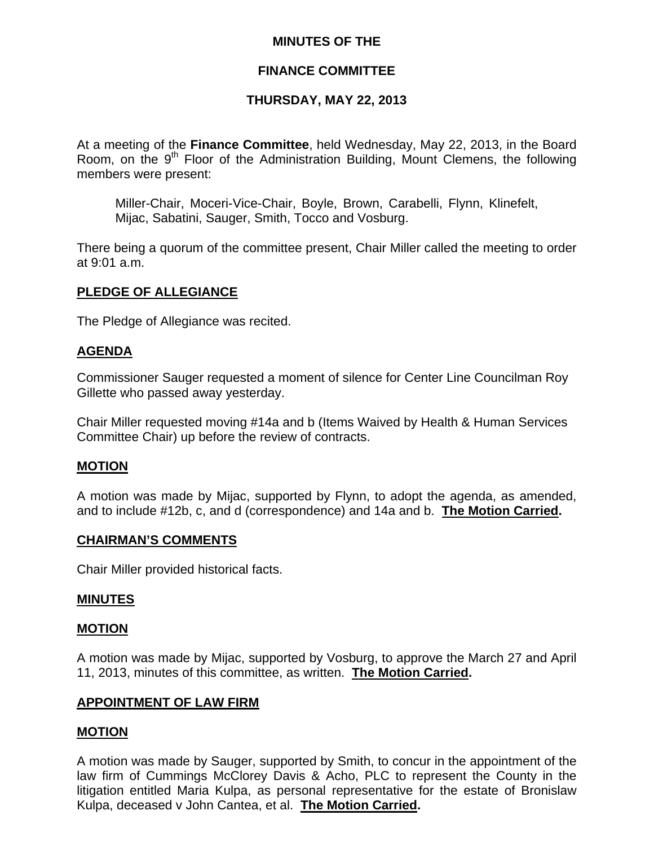## **MINUTES OF THE**

## **FINANCE COMMITTEE**

## **THURSDAY, MAY 22, 2013**

At a meeting of the **Finance Committee**, held Wednesday, May 22, 2013, in the Board Room, on the  $9<sup>th</sup>$  Floor of the Administration Building, Mount Clemens, the following members were present:

Miller-Chair, Moceri-Vice-Chair, Boyle, Brown, Carabelli, Flynn, Klinefelt, Mijac, Sabatini, Sauger, Smith, Tocco and Vosburg.

There being a quorum of the committee present, Chair Miller called the meeting to order at 9:01 a.m.

### **PLEDGE OF ALLEGIANCE**

The Pledge of Allegiance was recited.

### **AGENDA**

Commissioner Sauger requested a moment of silence for Center Line Councilman Roy Gillette who passed away yesterday.

Chair Miller requested moving #14a and b (Items Waived by Health & Human Services Committee Chair) up before the review of contracts.

### **MOTION**

A motion was made by Mijac, supported by Flynn, to adopt the agenda, as amended, and to include #12b, c, and d (correspondence) and 14a and b. **The Motion Carried.** 

### **CHAIRMAN'S COMMENTS**

Chair Miller provided historical facts.

### **MINUTES**

### **MOTION**

A motion was made by Mijac, supported by Vosburg, to approve the March 27 and April 11, 2013, minutes of this committee, as written. **The Motion Carried.** 

### **APPOINTMENT OF LAW FIRM**

### **MOTION**

A motion was made by Sauger, supported by Smith, to concur in the appointment of the law firm of Cummings McClorey Davis & Acho, PLC to represent the County in the litigation entitled Maria Kulpa, as personal representative for the estate of Bronislaw Kulpa, deceased v John Cantea, et al. **The Motion Carried.**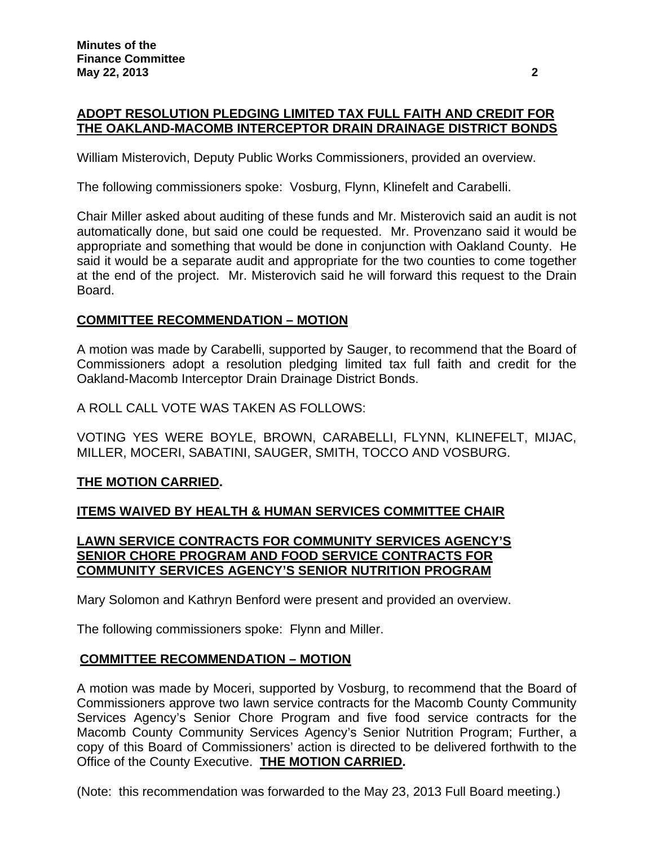# **ADOPT RESOLUTION PLEDGING LIMITED TAX FULL FAITH AND CREDIT FOR THE OAKLAND-MACOMB INTERCEPTOR DRAIN DRAINAGE DISTRICT BONDS**

William Misterovich, Deputy Public Works Commissioners, provided an overview.

The following commissioners spoke: Vosburg, Flynn, Klinefelt and Carabelli.

Chair Miller asked about auditing of these funds and Mr. Misterovich said an audit is not automatically done, but said one could be requested. Mr. Provenzano said it would be appropriate and something that would be done in conjunction with Oakland County. He said it would be a separate audit and appropriate for the two counties to come together at the end of the project. Mr. Misterovich said he will forward this request to the Drain Board.

## **COMMITTEE RECOMMENDATION – MOTION**

A motion was made by Carabelli, supported by Sauger, to recommend that the Board of Commissioners adopt a resolution pledging limited tax full faith and credit for the Oakland-Macomb Interceptor Drain Drainage District Bonds.

A ROLL CALL VOTE WAS TAKEN AS FOLLOWS:

VOTING YES WERE BOYLE, BROWN, CARABELLI, FLYNN, KLINEFELT, MIJAC, MILLER, MOCERI, SABATINI, SAUGER, SMITH, TOCCO AND VOSBURG.

## **THE MOTION CARRIED.**

## **ITEMS WAIVED BY HEALTH & HUMAN SERVICES COMMITTEE CHAIR**

## **LAWN SERVICE CONTRACTS FOR COMMUNITY SERVICES AGENCY'S SENIOR CHORE PROGRAM AND FOOD SERVICE CONTRACTS FOR COMMUNITY SERVICES AGENCY'S SENIOR NUTRITION PROGRAM**

Mary Solomon and Kathryn Benford were present and provided an overview.

The following commissioners spoke: Flynn and Miller.

### **COMMITTEE RECOMMENDATION – MOTION**

A motion was made by Moceri, supported by Vosburg, to recommend that the Board of Commissioners approve two lawn service contracts for the Macomb County Community Services Agency's Senior Chore Program and five food service contracts for the Macomb County Community Services Agency's Senior Nutrition Program; Further, a copy of this Board of Commissioners' action is directed to be delivered forthwith to the Office of the County Executive. **THE MOTION CARRIED.** 

(Note: this recommendation was forwarded to the May 23, 2013 Full Board meeting.)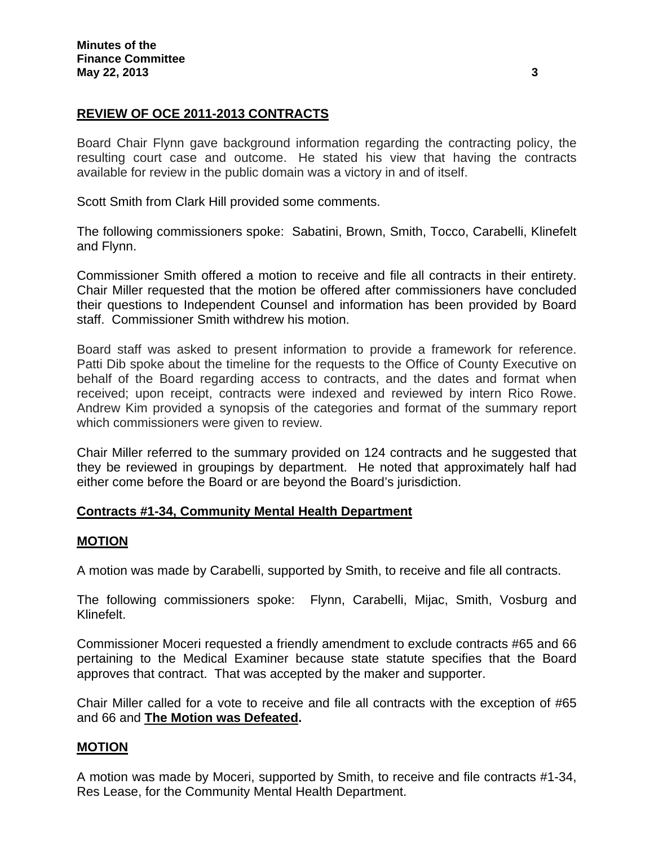# **REVIEW OF OCE 2011-2013 CONTRACTS**

Board Chair Flynn gave background information regarding the contracting policy, the resulting court case and outcome. He stated his view that having the contracts available for review in the public domain was a victory in and of itself.

Scott Smith from Clark Hill provided some comments.

The following commissioners spoke: Sabatini, Brown, Smith, Tocco, Carabelli, Klinefelt and Flynn.

Commissioner Smith offered a motion to receive and file all contracts in their entirety. Chair Miller requested that the motion be offered after commissioners have concluded their questions to Independent Counsel and information has been provided by Board staff. Commissioner Smith withdrew his motion.

Board staff was asked to present information to provide a framework for reference. Patti Dib spoke about the timeline for the requests to the Office of County Executive on behalf of the Board regarding access to contracts, and the dates and format when received; upon receipt, contracts were indexed and reviewed by intern Rico Rowe. Andrew Kim provided a synopsis of the categories and format of the summary report which commissioners were given to review.

Chair Miller referred to the summary provided on 124 contracts and he suggested that they be reviewed in groupings by department. He noted that approximately half had either come before the Board or are beyond the Board's jurisdiction.

## **Contracts #1-34, Community Mental Health Department**

### **MOTION**

A motion was made by Carabelli, supported by Smith, to receive and file all contracts.

The following commissioners spoke: Flynn, Carabelli, Mijac, Smith, Vosburg and Klinefelt.

Commissioner Moceri requested a friendly amendment to exclude contracts #65 and 66 pertaining to the Medical Examiner because state statute specifies that the Board approves that contract. That was accepted by the maker and supporter.

Chair Miller called for a vote to receive and file all contracts with the exception of #65 and 66 and **The Motion was Defeated.** 

## **MOTION**

A motion was made by Moceri, supported by Smith, to receive and file contracts #1-34, Res Lease, for the Community Mental Health Department.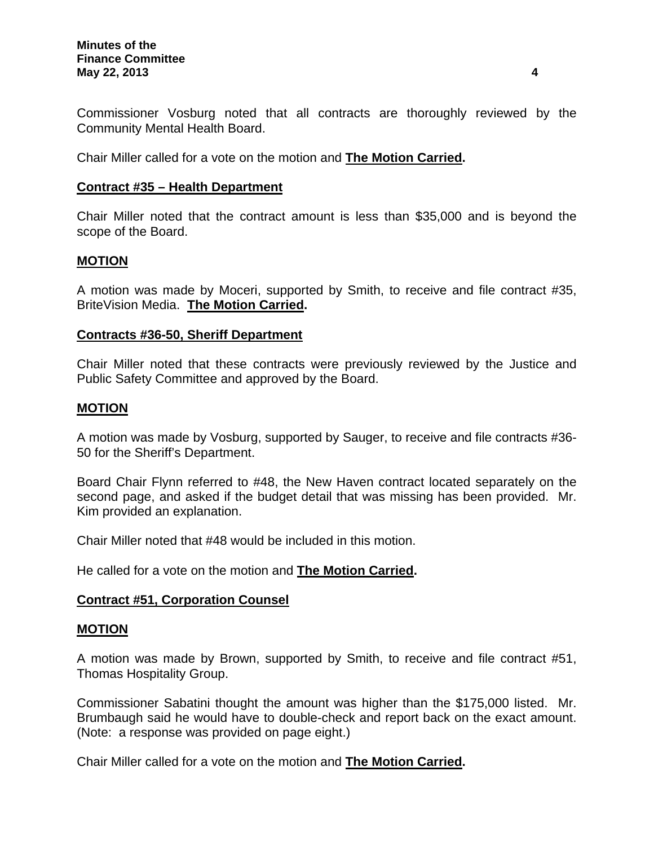Commissioner Vosburg noted that all contracts are thoroughly reviewed by the Community Mental Health Board.

Chair Miller called for a vote on the motion and **The Motion Carried.** 

### **Contract #35 – Health Department**

Chair Miller noted that the contract amount is less than \$35,000 and is beyond the scope of the Board.

### **MOTION**

A motion was made by Moceri, supported by Smith, to receive and file contract #35, BriteVision Media. **The Motion Carried.** 

### **Contracts #36-50, Sheriff Department**

Chair Miller noted that these contracts were previously reviewed by the Justice and Public Safety Committee and approved by the Board.

## **MOTION**

A motion was made by Vosburg, supported by Sauger, to receive and file contracts #36- 50 for the Sheriff's Department.

Board Chair Flynn referred to #48, the New Haven contract located separately on the second page, and asked if the budget detail that was missing has been provided. Mr. Kim provided an explanation.

Chair Miller noted that #48 would be included in this motion.

He called for a vote on the motion and **The Motion Carried.** 

### **Contract #51, Corporation Counsel**

### **MOTION**

A motion was made by Brown, supported by Smith, to receive and file contract #51, Thomas Hospitality Group.

Commissioner Sabatini thought the amount was higher than the \$175,000 listed. Mr. Brumbaugh said he would have to double-check and report back on the exact amount. (Note: a response was provided on page eight.)

Chair Miller called for a vote on the motion and **The Motion Carried.**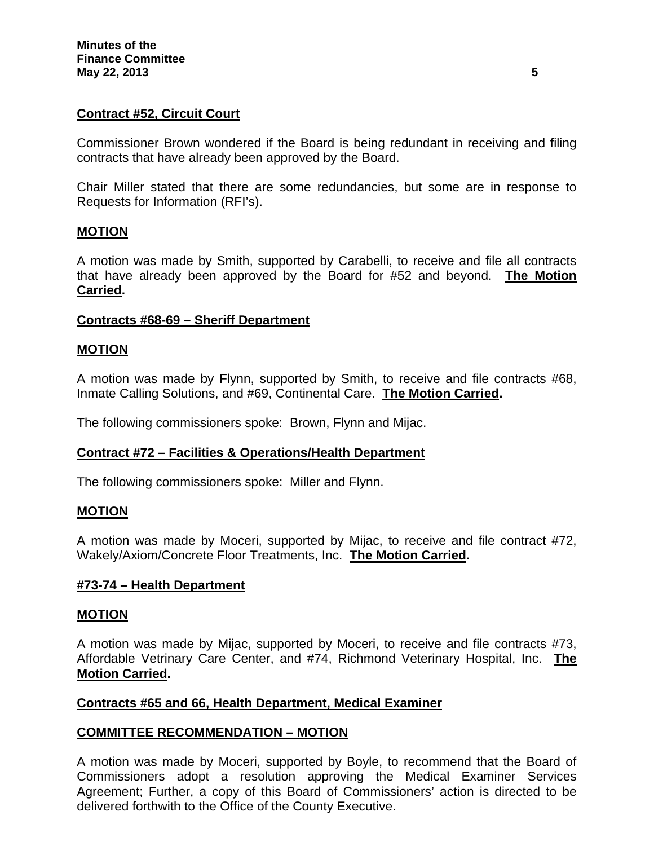## **Contract #52, Circuit Court**

Commissioner Brown wondered if the Board is being redundant in receiving and filing contracts that have already been approved by the Board.

Chair Miller stated that there are some redundancies, but some are in response to Requests for Information (RFI's).

### **MOTION**

A motion was made by Smith, supported by Carabelli, to receive and file all contracts that have already been approved by the Board for #52 and beyond. **The Motion Carried.** 

## **Contracts #68-69 – Sheriff Department**

#### **MOTION**

A motion was made by Flynn, supported by Smith, to receive and file contracts #68, Inmate Calling Solutions, and #69, Continental Care. **The Motion Carried.** 

The following commissioners spoke: Brown, Flynn and Mijac.

### **Contract #72 – Facilities & Operations/Health Department**

The following commissioners spoke: Miller and Flynn.

#### **MOTION**

A motion was made by Moceri, supported by Mijac, to receive and file contract #72, Wakely/Axiom/Concrete Floor Treatments, Inc. **The Motion Carried.**

#### **#73-74 – Health Department**

#### **MOTION**

A motion was made by Mijac, supported by Moceri, to receive and file contracts #73, Affordable Vetrinary Care Center, and #74, Richmond Veterinary Hospital, Inc. **The Motion Carried.** 

### **Contracts #65 and 66, Health Department, Medical Examiner**

### **COMMITTEE RECOMMENDATION – MOTION**

A motion was made by Moceri, supported by Boyle, to recommend that the Board of Commissioners adopt a resolution approving the Medical Examiner Services Agreement; Further, a copy of this Board of Commissioners' action is directed to be delivered forthwith to the Office of the County Executive.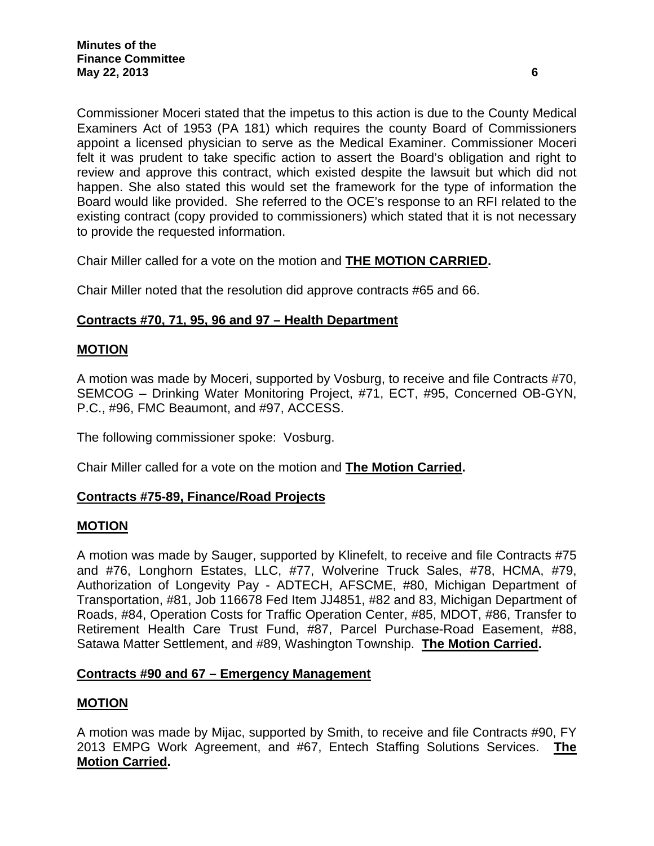Commissioner Moceri stated that the impetus to this action is due to the County Medical Examiners Act of 1953 (PA 181) which requires the county Board of Commissioners appoint a licensed physician to serve as the Medical Examiner. Commissioner Moceri felt it was prudent to take specific action to assert the Board's obligation and right to review and approve this contract, which existed despite the lawsuit but which did not happen. She also stated this would set the framework for the type of information the Board would like provided. She referred to the OCE's response to an RFI related to the existing contract (copy provided to commissioners) which stated that it is not necessary to provide the requested information.

Chair Miller called for a vote on the motion and **THE MOTION CARRIED.**

Chair Miller noted that the resolution did approve contracts #65 and 66.

## **Contracts #70, 71, 95, 96 and 97 – Health Department**

## **MOTION**

A motion was made by Moceri, supported by Vosburg, to receive and file Contracts #70, SEMCOG – Drinking Water Monitoring Project, #71, ECT, #95, Concerned OB-GYN, P.C., #96, FMC Beaumont, and #97, ACCESS.

The following commissioner spoke: Vosburg.

Chair Miller called for a vote on the motion and **The Motion Carried.** 

## **Contracts #75-89, Finance/Road Projects**

### **MOTION**

A motion was made by Sauger, supported by Klinefelt, to receive and file Contracts #75 and #76, Longhorn Estates, LLC, #77, Wolverine Truck Sales, #78, HCMA, #79, Authorization of Longevity Pay - ADTECH, AFSCME, #80, Michigan Department of Transportation, #81, Job 116678 Fed Item JJ4851, #82 and 83, Michigan Department of Roads, #84, Operation Costs for Traffic Operation Center, #85, MDOT, #86, Transfer to Retirement Health Care Trust Fund, #87, Parcel Purchase-Road Easement, #88, Satawa Matter Settlement, and #89, Washington Township. **The Motion Carried.**

### **Contracts #90 and 67 – Emergency Management**

## **MOTION**

A motion was made by Mijac, supported by Smith, to receive and file Contracts #90, FY 2013 EMPG Work Agreement, and #67, Entech Staffing Solutions Services. **The Motion Carried.**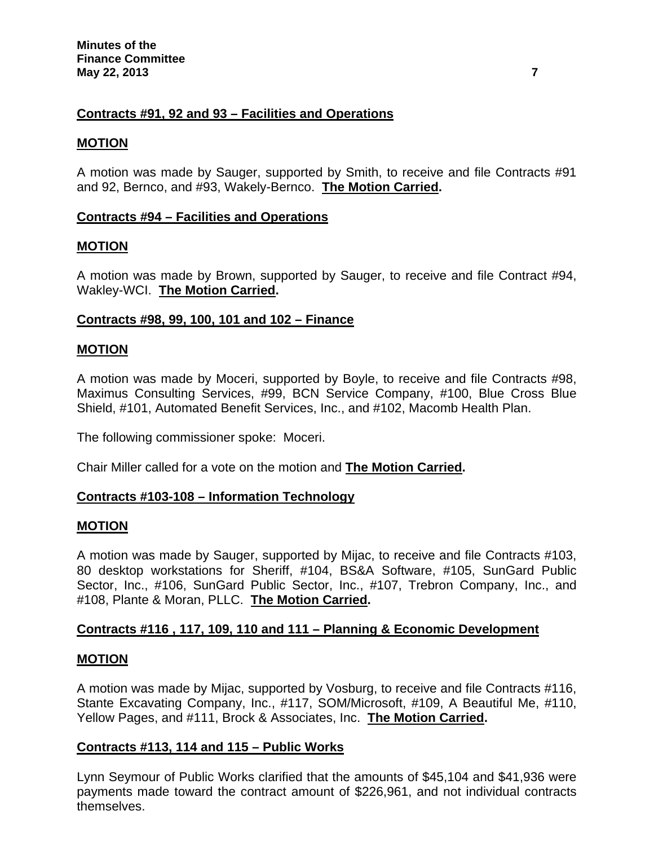## **Contracts #91, 92 and 93 – Facilities and Operations**

### **MOTION**

A motion was made by Sauger, supported by Smith, to receive and file Contracts #91 and 92, Bernco, and #93, Wakely-Bernco. **The Motion Carried.** 

## **Contracts #94 – Facilities and Operations**

## **MOTION**

A motion was made by Brown, supported by Sauger, to receive and file Contract #94, Wakley-WCI. **The Motion Carried.** 

## **Contracts #98, 99, 100, 101 and 102 – Finance**

### **MOTION**

A motion was made by Moceri, supported by Boyle, to receive and file Contracts #98, Maximus Consulting Services, #99, BCN Service Company, #100, Blue Cross Blue Shield, #101, Automated Benefit Services, Inc., and #102, Macomb Health Plan.

The following commissioner spoke: Moceri.

Chair Miller called for a vote on the motion and **The Motion Carried.** 

### **Contracts #103-108 – Information Technology**

### **MOTION**

A motion was made by Sauger, supported by Mijac, to receive and file Contracts #103, 80 desktop workstations for Sheriff, #104, BS&A Software, #105, SunGard Public Sector, Inc., #106, SunGard Public Sector, Inc., #107, Trebron Company, Inc., and #108, Plante & Moran, PLLC. **The Motion Carried.**

### **Contracts #116 , 117, 109, 110 and 111 – Planning & Economic Development**

### **MOTION**

A motion was made by Mijac, supported by Vosburg, to receive and file Contracts #116, Stante Excavating Company, Inc., #117, SOM/Microsoft, #109, A Beautiful Me, #110, Yellow Pages, and #111, Brock & Associates, Inc. **The Motion Carried.**

### **Contracts #113, 114 and 115 – Public Works**

Lynn Seymour of Public Works clarified that the amounts of \$45,104 and \$41,936 were payments made toward the contract amount of \$226,961, and not individual contracts themselves.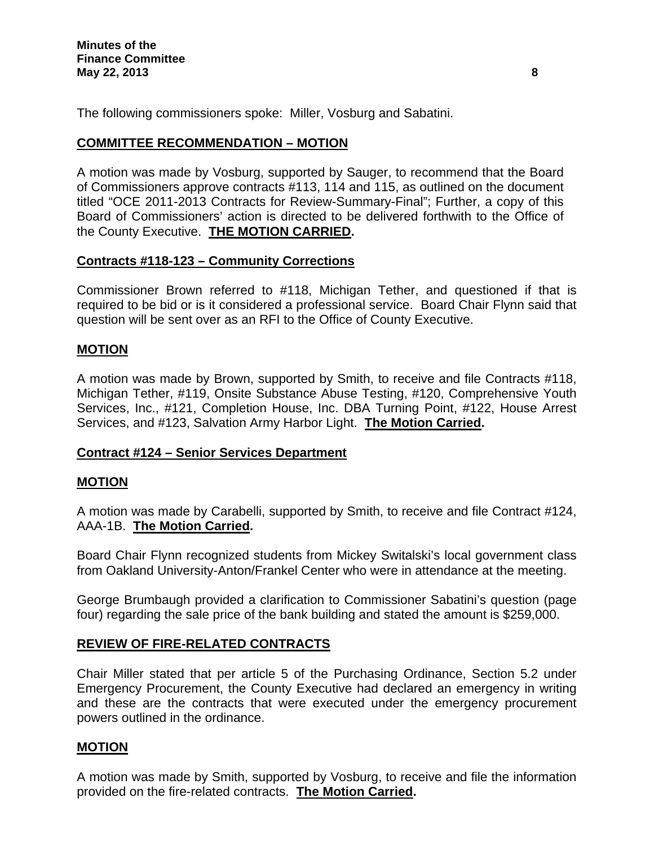The following commissioners spoke: Miller, Vosburg and Sabatini.

# **COMMITTEE RECOMMENDATION – MOTION**

A motion was made by Vosburg, supported by Sauger, to recommend that the Board of Commissioners approve contracts #113, 114 and 115, as outlined on the document titled "OCE 2011-2013 Contracts for Review-Summary-Final"; Further, a copy of this Board of Commissioners' action is directed to be delivered forthwith to the Office of the County Executive. **THE MOTION CARRIED.** 

# **Contracts #118-123 – Community Corrections**

Commissioner Brown referred to #118, Michigan Tether, and questioned if that is required to be bid or is it considered a professional service. Board Chair Flynn said that question will be sent over as an RFI to the Office of County Executive.

## **MOTION**

A motion was made by Brown, supported by Smith, to receive and file Contracts #118, Michigan Tether, #119, Onsite Substance Abuse Testing, #120, Comprehensive Youth Services, Inc., #121, Completion House, Inc. DBA Turning Point, #122, House Arrest Services, and #123, Salvation Army Harbor Light. **The Motion Carried.**

# **Contract #124 – Senior Services Department**

## **MOTION**

A motion was made by Carabelli, supported by Smith, to receive and file Contract #124, AAA-1B. **The Motion Carried.**

Board Chair Flynn recognized students from Mickey Switalski's local government class from Oakland University-Anton/Frankel Center who were in attendance at the meeting.

George Brumbaugh provided a clarification to Commissioner Sabatini's question (page four) regarding the sale price of the bank building and stated the amount is \$259,000.

## **REVIEW OF FIRE-RELATED CONTRACTS**

Chair Miller stated that per article 5 of the Purchasing Ordinance, Section 5.2 under Emergency Procurement, the County Executive had declared an emergency in writing and these are the contracts that were executed under the emergency procurement powers outlined in the ordinance.

## **MOTION**

A motion was made by Smith, supported by Vosburg, to receive and file the information provided on the fire-related contracts. **The Motion Carried.**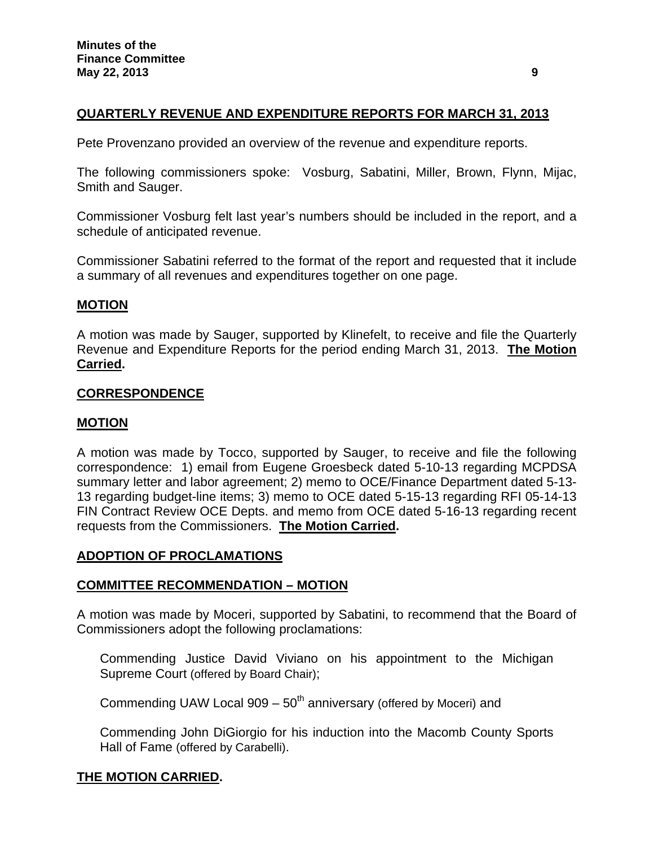# **QUARTERLY REVENUE AND EXPENDITURE REPORTS FOR MARCH 31, 2013**

Pete Provenzano provided an overview of the revenue and expenditure reports.

The following commissioners spoke: Vosburg, Sabatini, Miller, Brown, Flynn, Mijac, Smith and Sauger.

Commissioner Vosburg felt last year's numbers should be included in the report, and a schedule of anticipated revenue.

Commissioner Sabatini referred to the format of the report and requested that it include a summary of all revenues and expenditures together on one page.

## **MOTION**

A motion was made by Sauger, supported by Klinefelt, to receive and file the Quarterly Revenue and Expenditure Reports for the period ending March 31, 2013. **The Motion Carried.** 

### **CORRESPONDENCE**

### **MOTION**

A motion was made by Tocco, supported by Sauger, to receive and file the following correspondence: 1) email from Eugene Groesbeck dated 5-10-13 regarding MCPDSA summary letter and labor agreement; 2) memo to OCE/Finance Department dated 5-13- 13 regarding budget-line items; 3) memo to OCE dated 5-15-13 regarding RFI 05-14-13 FIN Contract Review OCE Depts. and memo from OCE dated 5-16-13 regarding recent requests from the Commissioners. **The Motion Carried.**

### **ADOPTION OF PROCLAMATIONS**

## **COMMITTEE RECOMMENDATION – MOTION**

A motion was made by Moceri, supported by Sabatini, to recommend that the Board of Commissioners adopt the following proclamations:

Commending Justice David Viviano on his appointment to the Michigan Supreme Court (offered by Board Chair);

Commending UAW Local 909 –  $50<sup>th</sup>$  anniversary (offered by Moceri) and

Commending John DiGiorgio for his induction into the Macomb County Sports Hall of Fame (offered by Carabelli).

### **THE MOTION CARRIED.**